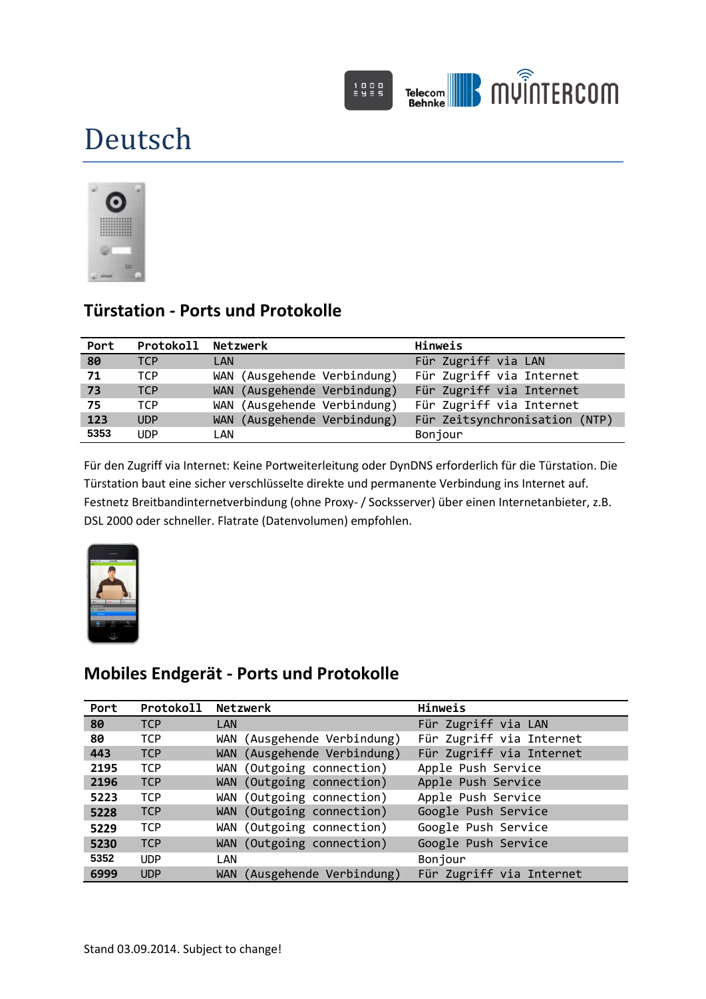

# Deutsch



## **Türstation - Ports und Protokolle**

| Port | Protokoll Netzwerk |                             | Hinweis                       |
|------|--------------------|-----------------------------|-------------------------------|
| 80   | <b>TCP</b>         | LAN                         | Für Zugriff via LAN           |
| 71   | TCP                | WAN (Ausgehende Verbindung) | Für Zugriff via Internet      |
| 73   | <b>TCP</b>         | WAN (Ausgehende Verbindung) | Für Zugriff via Internet      |
| 75   | TCP                | WAN (Ausgehende Verbindung) | Für Zugriff via Internet      |
| 123  | <b>UDP</b>         | WAN (Ausgehende Verbindung) | Für Zeitsynchronisation (NTP) |
| 5353 | <b>UDP</b>         | LAN                         | Bonjour                       |

Für den Zugriff via Internet: Keine Portweiterleitung oder DynDNS erforderlich für die Türstation. Die Türstation baut eine sicher verschlüsselte direkte und permanente Verbindung ins Internet auf. Festnetz Breitbandinternetverbindung (ohne Proxy- / Socksserver) über einen Internetanbieter, z.B. DSL 2000 oder schneller. Flatrate (Datenvolumen) empfohlen.



### **Mobiles Endgerät - Ports und Protokolle**

| Port | Protokoll  | Netzwerk                              | Hinweis                  |
|------|------------|---------------------------------------|--------------------------|
| 80   | <b>TCP</b> | <b>LAN</b>                            | Für Zugriff via LAN      |
| 80   | <b>TCP</b> | (Ausgehende Verbindung)<br>WAN        | Für Zugriff via Internet |
| 443  | <b>TCP</b> | (Ausgehende Verbindung)<br><b>WAN</b> | Für Zugriff via Internet |
| 2195 | <b>TCP</b> | (Outgoing connection)<br>Wan          | Apple Push Service       |
| 2196 | <b>TCP</b> | WAN (Outgoing connection)             | Apple Push Service       |
| 5223 | <b>TCP</b> | WAN (Outgoing connection)             | Apple Push Service       |
| 5228 | <b>TCP</b> | WAN (Outgoing connection)             | Google Push Service      |
| 5229 | <b>TCP</b> | WAN (Outgoing connection)             | Google Push Service      |
| 5230 | <b>TCP</b> | WAN (Outgoing connection)             | Google Push Service      |
| 5352 | <b>UDP</b> | LAN                                   | Bonjour                  |
| 6999 | <b>UDP</b> | (Ausgehende Verbindung)<br><b>WAN</b> | Für Zugriff via Internet |